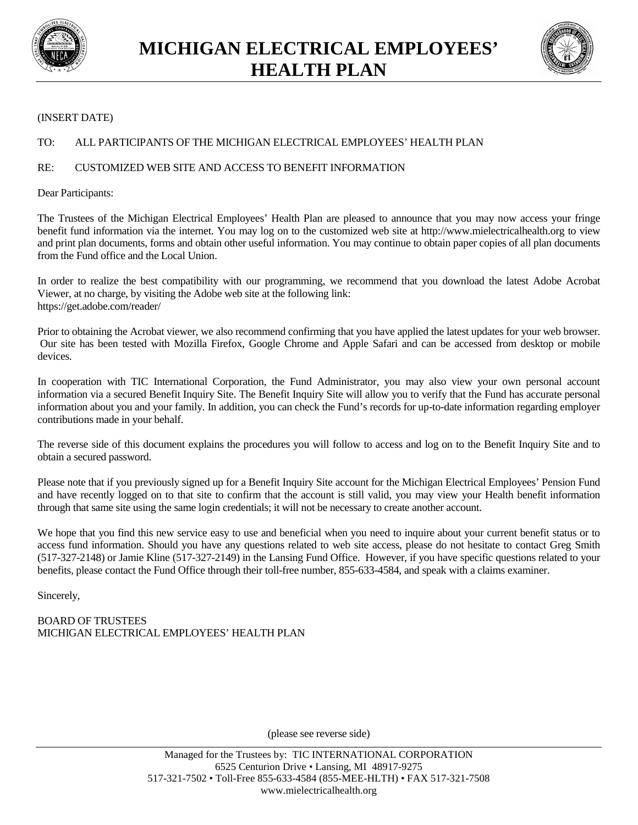



## (INSERT DATE)

## TO: ALL PARTICIPANTS OF THE MICHIGAN ELECTRICAL EMPLOYEES' HEALTH PLAN

## RE: CUSTOMIZED WEB SITE AND ACCESS TO BENEFIT INFORMATION

Dear Participants:

The Trustees of the Michigan Electrical Employees' Health Plan are pleased to announce that you may now access your fringe benefit fund information via the internet. You may log on to the customized web site at http://www.mielectricalhealth.org to view and print plan documents, forms and obtain other useful information. You may continue to obtain paper copies of all plan documents from the Fund office and the Local Union.

In order to realize the best compatibility with our programming, we recommend that you download the latest Adobe Acrobat Viewer, at no charge, by visiting the Adobe web site at the following link: https://get.adobe.com/reader/

Prior to obtaining the Acrobat viewer, we also recommend confirming that you have applied the latest updates for your web browser. Our site has been tested with Mozilla Firefox, Google Chrome and Apple Safari and can be accessed from desktop or mobile devices.

In cooperation with TIC International Corporation, the Fund Administrator, you may also view your own personal account information via a secured Benefit Inquiry Site. The Benefit Inquiry Site will allow you to verify that the Fund has accurate personal information about you and your family. In addition, you can check the Fund's records for up-to-date information regarding employer contributions made in your behalf.

The reverse side of this document explains the procedures you will follow to access and log on to the Benefit Inquiry Site and to obtain a secured password.

Please note that if you previously signed up for a Benefit Inquiry Site account for the Michigan Electrical Employees' Pension Fund and have recently logged on to that site to confirm that the account is still valid, you may view your Health benefit information through that same site using the same login credentials; it will not be necessary to create another account.

We hope that you find this new service easy to use and beneficial when you need to inquire about your current benefit status or to access fund information. Should you have any questions related to web site access, please do not hesitate to contact Greg Smith (517-327-2148) or Jamie Kline (517-327-2149) in the Lansing Fund Office. However, if you have specific questions related to your benefits, please contact the Fund Office through their toll-free number, 855-633-4584, and speak with a claims examiner.

Sincerely,

BOARD OF TRUSTEES MICHIGAN ELECTRICAL EMPLOYEES' HEALTH PLAN

(please see reverse side)